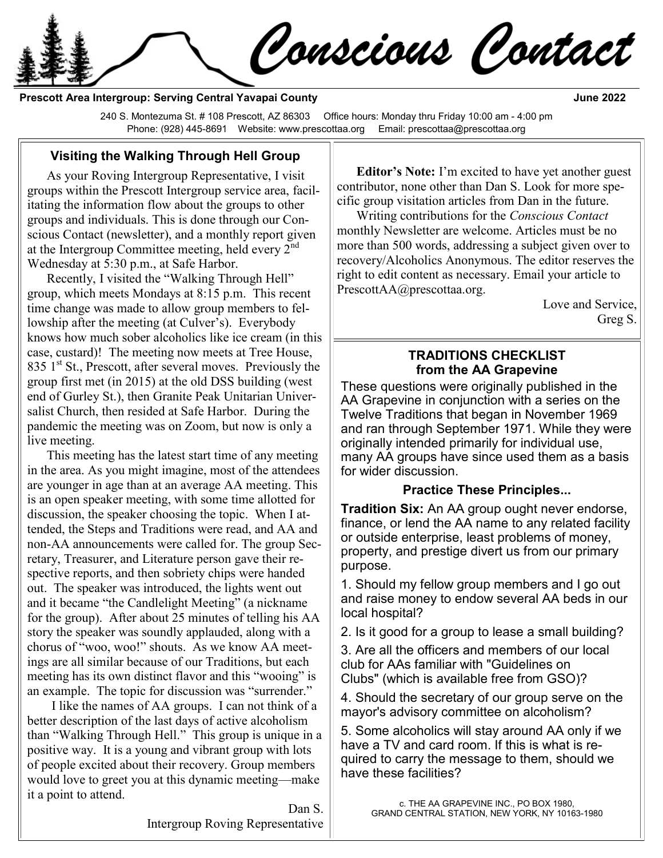Conscious Contact

**Prescott Area Intergroup: Serving Central Yavapai County June 2022** 

240 S. Montezuma St. # 108 Prescott, AZ 86303 Office hours: Monday thru Friday 10:00 am - 4:00 pm Phone: (928) 445-8691 Website: www.prescottaa.org Email: prescottaa@prescottaa.org

### **Visiting the Walking Through Hell Group**

As your Roving Intergroup Representative, I visit groups within the Prescott Intergroup service area, facilitating the information flow about the groups to other groups and individuals. This is done through our Conscious Contact (newsletter), and a monthly report given at the Intergroup Committee meeting, held every  $2<sup>nd</sup>$ Wednesday at 5:30 p.m., at Safe Harbor.

Recently, I visited the "Walking Through Hell" group, which meets Mondays at 8:15 p.m. This recent time change was made to allow group members to fellowship after the meeting (at Culver's). Everybody knows how much sober alcoholics like ice cream (in this case, custard)! The meeting now meets at Tree House, 835  $1<sup>st</sup>$  St., Prescott, after several moves. Previously the group first met (in 2015) at the old DSS building (west end of Gurley St.), then Granite Peak Unitarian Universalist Church, then resided at Safe Harbor. During the pandemic the meeting was on Zoom, but now is only a live meeting.

This meeting has the latest start time of any meeting in the area. As you might imagine, most of the attendees are younger in age than at an average AA meeting. This is an open speaker meeting, with some time allotted for discussion, the speaker choosing the topic. When I attended, the Steps and Traditions were read, and AA and non-AA announcements were called for. The group Secretary, Treasurer, and Literature person gave their respective reports, and then sobriety chips were handed out. The speaker was introduced, the lights went out and it became "the Candlelight Meeting" (a nickname for the group). After about 25 minutes of telling his AA story the speaker was soundly applauded, along with a chorus of "woo, woo!" shouts. As we know AA meetings are all similar because of our Traditions, but each meeting has its own distinct flavor and this "wooing" is an example. The topic for discussion was "surrender."

I like the names of AA groups. I can not think of a better description of the last days of active alcoholism than "Walking Through Hell." This group is unique in a positive way. It is a young and vibrant group with lots of people excited about their recovery. Group members would love to greet you at this dynamic meeting—make it a point to attend.

> Dan S. Intergroup Roving Representative

**Editor's Note:** I'm excited to have yet another guest contributor, none other than Dan S. Look for more specific group visitation articles from Dan in the future.

Writing contributions for the *Conscious Contact* monthly Newsletter are welcome. Articles must be no more than 500 words, addressing a subject given over to recovery/Alcoholics Anonymous. The editor reserves the right to edit content as necessary. Email your article to [PrescottAA@prescottaa.org.](mailto:PrescottAA@prescottaa.org)

Love and Service, Greg S.

### **TRADITIONS CHECKLIST from the AA Grapevine**

These questions were originally published in the AA Grapevine in conjunction with a series on the Twelve Traditions that began in November 1969 and ran through September 1971. While they were originally intended primarily for individual use, many AA groups have since used them as a basis for wider discussion.

#### **Practice These Principles...**

**Tradition Six:** An AA group ought never endorse, finance, or lend the AA name to any related facility or outside enterprise, least problems of money, property, and prestige divert us from our primary purpose.

1. Should my fellow group members and I go out and raise money to endow several AA beds in our local hospital?

2. Is it good for a group to lease a small building?

3. Are all the officers and members of our local club for AAs familiar with "Guidelines on Clubs" (which is available free from GSO)?

4. Should the secretary of our group serve on the mayor's advisory committee on alcoholism?

5. Some alcoholics will stay around AA only if we have a TV and card room. If this is what is required to carry the message to them, should we have these facilities?

> c. THE AA GRAPEVINE INC., PO BOX 1980, GRAND CENTRAL STATION, NEW YORK, NY 10163-1980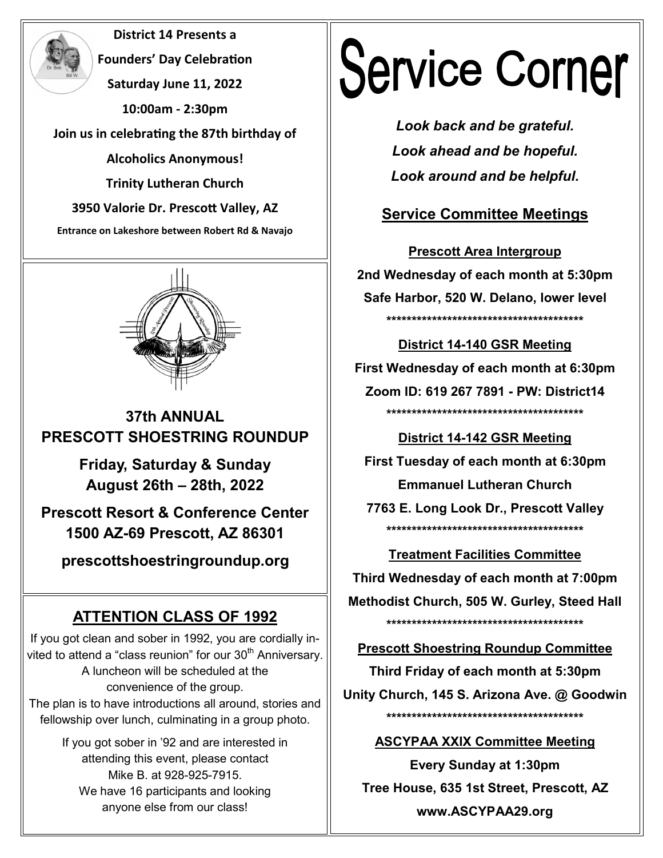**District 14 Presents a Founders' Day Celebration Saturday June 11, 2022 10:00am - 2:30pm Join us in celebrating the 87th birthday of Alcoholics Anonymous! Trinity Lutheran Church 3950 Valorie Dr. Prescott Valley, AZ Entrance on Lakeshore between Robert Rd & Navajo** 



## **37th ANNUAL PRESCOTT SHOESTRING ROUNDUP**

**Friday, Saturday & Sunday August 26th – 28th, 2022** 

**Prescott Resort & Conference Center 1500 AZ-69 Prescott, AZ 86301** 

**prescottshoestringroundup.org** 

# **ATTENTION CLASS OF 1992**

If you got clean and sober in 1992, you are cordially invited to attend a "class reunion" for our  $30<sup>th</sup>$  Anniversary. A luncheon will be scheduled at the convenience of the group. The plan is to have introductions all around, stories and fellowship over lunch, culminating in a group photo.

> If you got sober in '92 and are interested in attending this event, please contact Mike B. at 928-925-7915. We have 16 participants and looking anyone else from our class!

# **Service Corner**

*Look back and be grateful. Look ahead and be hopeful. Look around and be helpful.*

# **Service Committee Meetings**

**Prescott Area Intergroup 2nd Wednesday of each month at 5:30pm Safe Harbor, 520 W. Delano, lower level \*\*\*\*\*\*\*\*\*\*\*\*\*\*\*\*\*\*\*\*\*\*\*\*\*\*\*\*\*\*\*\*\*\*\*\*\*\*\***

**District 14-140 GSR Meeting First Wednesday of each month at 6:30pm Zoom ID: 619 267 7891 - PW: District14 \*\*\*\*\*\*\*\*\*\*\*\*\*\*\*\*\*\*\*\*\*\*\*\*\*\*\*\*\*\*\*\*\*\*\*\*\*\*\***

**District 14-142 GSR Meeting First Tuesday of each month at 6:30pm Emmanuel Lutheran Church 7763 E. Long Look Dr., Prescott Valley \*\*\*\*\*\*\*\*\*\*\*\*\*\*\*\*\*\*\*\*\*\*\*\*\*\*\*\*\*\*\*\*\*\*\*\*\*\*\***

**Treatment Facilities Committee Third Wednesday of each month at 7:00pm Methodist Church, 505 W. Gurley, Steed Hall \*\*\*\*\*\*\*\*\*\*\*\*\*\*\*\*\*\*\*\*\*\*\*\*\*\*\*\*\*\*\*\*\*\*\*\*\*\*\***

**Prescott Shoestring Roundup Committee**

**Third Friday of each month at 5:30pm Unity Church, 145 S. Arizona Ave. @ Goodwin \*\*\*\*\*\*\*\*\*\*\*\*\*\*\*\*\*\*\*\*\*\*\*\*\*\*\*\*\*\*\*\*\*\*\*\*\*\*\***

### **ASCYPAA XXIX Committee Meeting**

**Every Sunday at 1:30pm Tree House, 635 1st Street, Prescott, AZ www.ASCYPAA29.org**